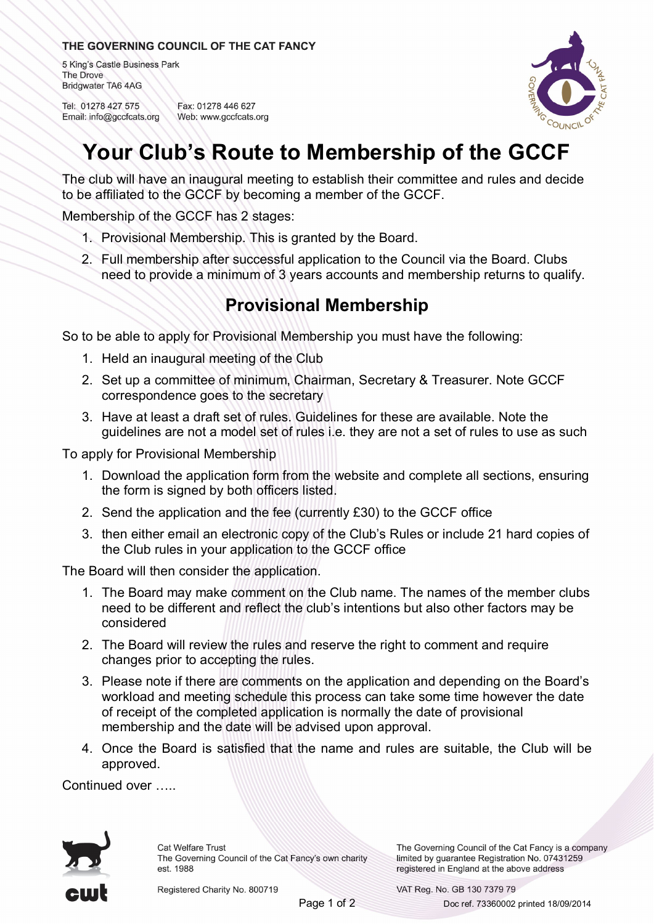#### THE GOVERNING COUNCIL OF THE CAT FANCY

5 King's Castle Business Park The Drove Bridgwater TA6 4AG

Tel: 01278 427 575 Email: info@gccfcats.org

Fax: 01278 446 627 Web: www.gccfcats.org



# **Your Club's Route to Membership of the GCCF**<br>The club will have an inaugural meeting to establish their committee and rules and decide<br>to be effiliated to the GCCE by becoming a member of the GGCE

to be affiliated to the GCCF by becoming a member of the GCCF.

Membership of the GCCF has 2 stages:

- 1. Provisional Membership. This is granted by the Board.
- 2. Full membership after successful application to the Council via the Board. Clubs need to provide a minimum of 3 years accounts and membership returns to qualify.

## **Provisional Membership**

So to be able to apply for Provisional Membership you must have the following: to be able to apply for Provisional Membershi<br>1. Held an inaugural meeting of the Club

- 
- 1. Held an inaugural meeting of the Club<br>2. Set up a committee of minimum, Chairman, Secretary & Treasurer. Note GCCF correspondence goes to the secretary
- 3. Have at least a draft set of rules. Guidelines for these are available. Note the guidelines are not a model set of rules i.e. they are not a set of rules to use as such

To apply for Provisional Membership

- 1. Download the application form from the website and complete all sections, ensuring the form is signed by both officers listed.
- 2. Send the application and the fee (currently £30) to the GCCF office
- 3. then either email an electronic copy of the Club's Rules or include 21 hard copies of the Club rules in your application to the GCCF office

The Board will then consider the application.

- 1. The Board may make comment on the Club name. The names of the member clubs need to be different and reflect the club's intentions but also other factors may be considered
- 2. The Board will review the rules and reserve the right to comment and require changes prior to accepting the rules. 3. The Board will review the rules and reserve the right to comment and require<br>changes prior to accepting the rules.<br>3. Please note if there are comments on the application and depending on the Board's<br>workload and meetin
- changes prior to accepting the rules.<br>Please note if there are comments on the application and depending on the Board's<br>workload and meeting schedule this process can take some time however the date<br>of receipt of the compl of receipt of the completed application is normally the date of provisional membership and the date will be advised upon approval.
- 4. Once the Board is satisfied that the name and rules are suitable, the Club will be approved.

Continued over …..



Cat Welfare Trust The Governing Council of the Cat Fancy's own charity est. 1988

The Governing Council of the Cat Fancy is a company limited by guarantee Registration No. 07431259

Registered Charity No. 800719

registered in England at the above address<br>VAT Reg. No. GB 130 7379 79<br>Page 1 of 2 Doc ref. 73360002 printed 18/09/2014